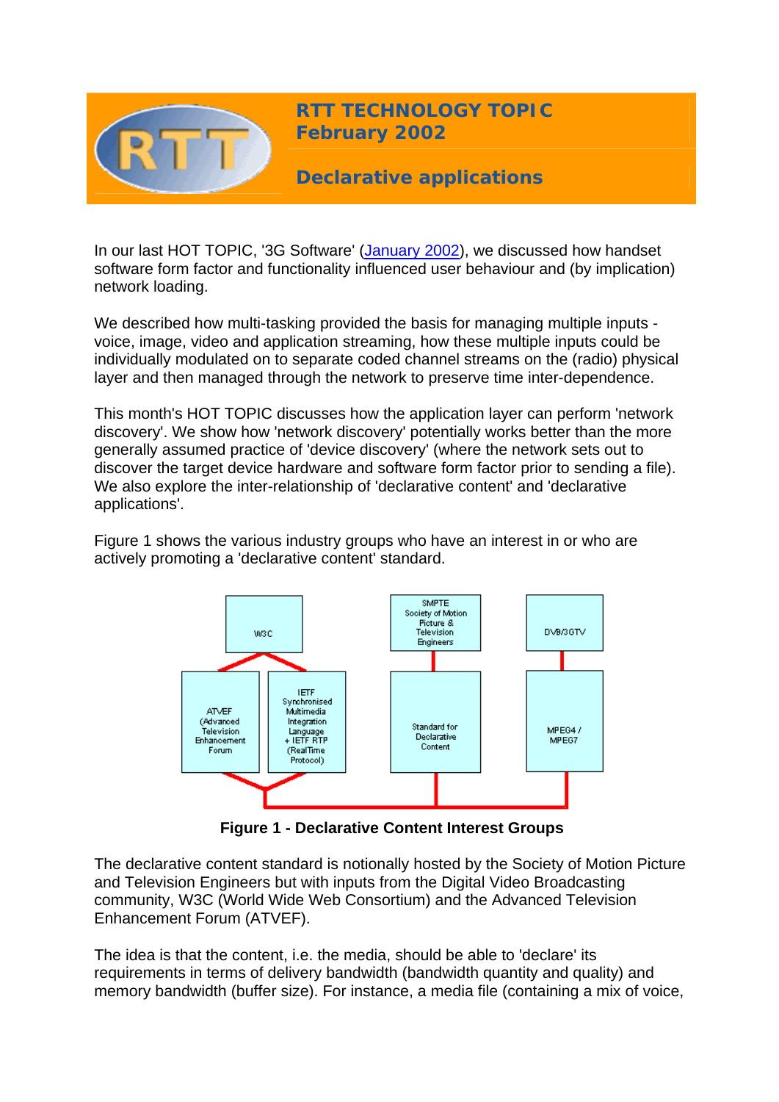

In our last HOT TOPIC, '3G Software' ([January 2002](http://www.rttonline.com/HotTopics/hottop_jan02.htm)), we discussed how handset software form factor and functionality influenced user behaviour and (by implication) network loading.

We described how multi-tasking provided the basis for managing multiple inputs voice, image, video and application streaming, how these multiple inputs could be individually modulated on to separate coded channel streams on the (radio) physical layer and then managed through the network to preserve time inter-dependence.

This month's HOT TOPIC discusses how the application layer can perform 'network discovery'. We show how 'network discovery' potentially works better than the more generally assumed practice of 'device discovery' (where the network sets out to discover the target device hardware and software form factor prior to sending a file). We also explore the inter-relationship of 'declarative content' and 'declarative applications'.

Figure 1 shows the various industry groups who have an interest in or who are actively promoting a 'declarative content' standard.



**Figure 1 - Declarative Content Interest Groups**

The declarative content standard is notionally hosted by the Society of Motion Picture and Television Engineers but with inputs from the Digital Video Broadcasting community, W3C (World Wide Web Consortium) and the Advanced Television Enhancement Forum (ATVEF).

The idea is that the content, i.e. the media, should be able to 'declare' its requirements in terms of delivery bandwidth (bandwidth quantity and quality) and memory bandwidth (buffer size). For instance, a media file (containing a mix of voice,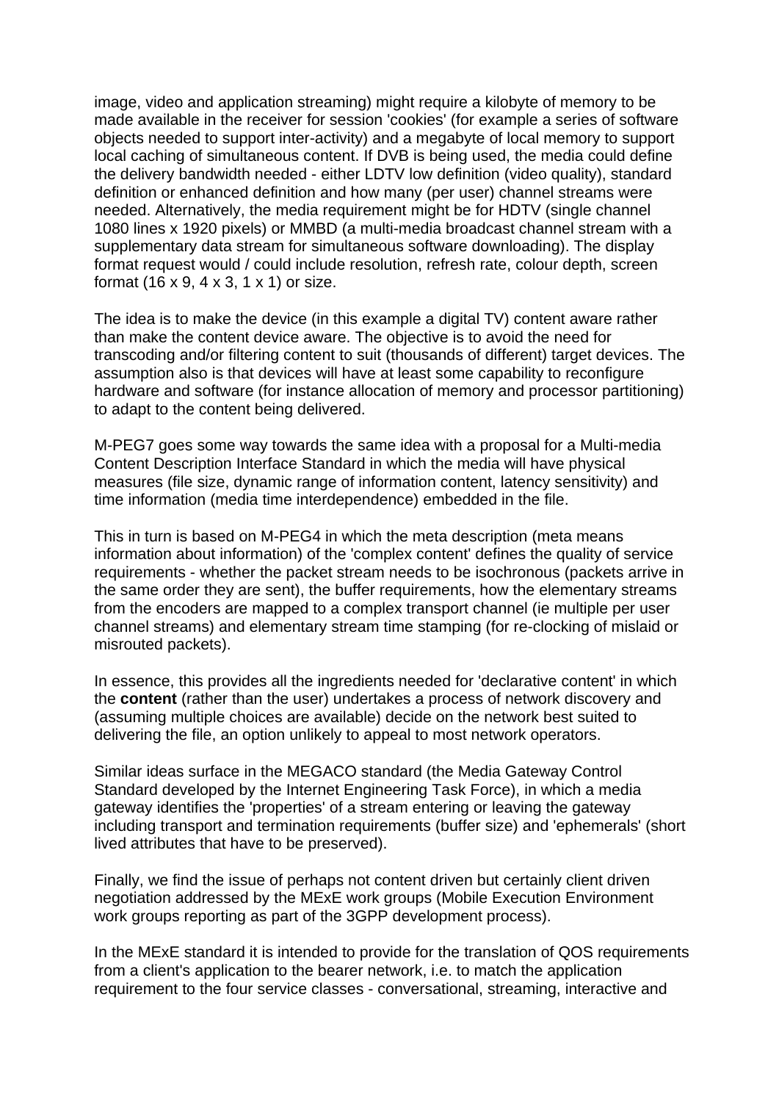image, video and application streaming) might require a kilobyte of memory to be made available in the receiver for session 'cookies' (for example a series of software objects needed to support inter-activity) and a megabyte of local memory to support local caching of simultaneous content. If DVB is being used, the media could define the delivery bandwidth needed - either LDTV low definition (video quality), standard definition or enhanced definition and how many (per user) channel streams were needed. Alternatively, the media requirement might be for HDTV (single channel 1080 lines x 1920 pixels) or MMBD (a multi-media broadcast channel stream with a supplementary data stream for simultaneous software downloading). The display format request would / could include resolution, refresh rate, colour depth, screen format (16 x 9, 4 x 3, 1 x 1) or size.

The idea is to make the device (in this example a digital TV) content aware rather than make the content device aware. The objective is to avoid the need for transcoding and/or filtering content to suit (thousands of different) target devices. The assumption also is that devices will have at least some capability to reconfigure hardware and software (for instance allocation of memory and processor partitioning) to adapt to the content being delivered.

M-PEG7 goes some way towards the same idea with a proposal for a Multi-media Content Description Interface Standard in which the media will have physical measures (file size, dynamic range of information content, latency sensitivity) and time information (media time interdependence) embedded in the file.

This in turn is based on M-PEG4 in which the meta description (meta means information about information) of the 'complex content' defines the quality of service requirements - whether the packet stream needs to be isochronous (packets arrive in the same order they are sent), the buffer requirements, how the elementary streams from the encoders are mapped to a complex transport channel (ie multiple per user channel streams) and elementary stream time stamping (for re-clocking of mislaid or misrouted packets).

In essence, this provides all the ingredients needed for 'declarative content' in which the **content** (rather than the user) undertakes a process of network discovery and (assuming multiple choices are available) decide on the network best suited to delivering the file, an option unlikely to appeal to most network operators.

Similar ideas surface in the MEGACO standard (the Media Gateway Control Standard developed by the Internet Engineering Task Force), in which a media gateway identifies the 'properties' of a stream entering or leaving the gateway including transport and termination requirements (buffer size) and 'ephemerals' (short lived attributes that have to be preserved).

Finally, we find the issue of perhaps not content driven but certainly client driven negotiation addressed by the MExE work groups (Mobile Execution Environment work groups reporting as part of the 3GPP development process).

In the MExE standard it is intended to provide for the translation of QOS requirements from a client's application to the bearer network, i.e. to match the application requirement to the four service classes - conversational, streaming, interactive and